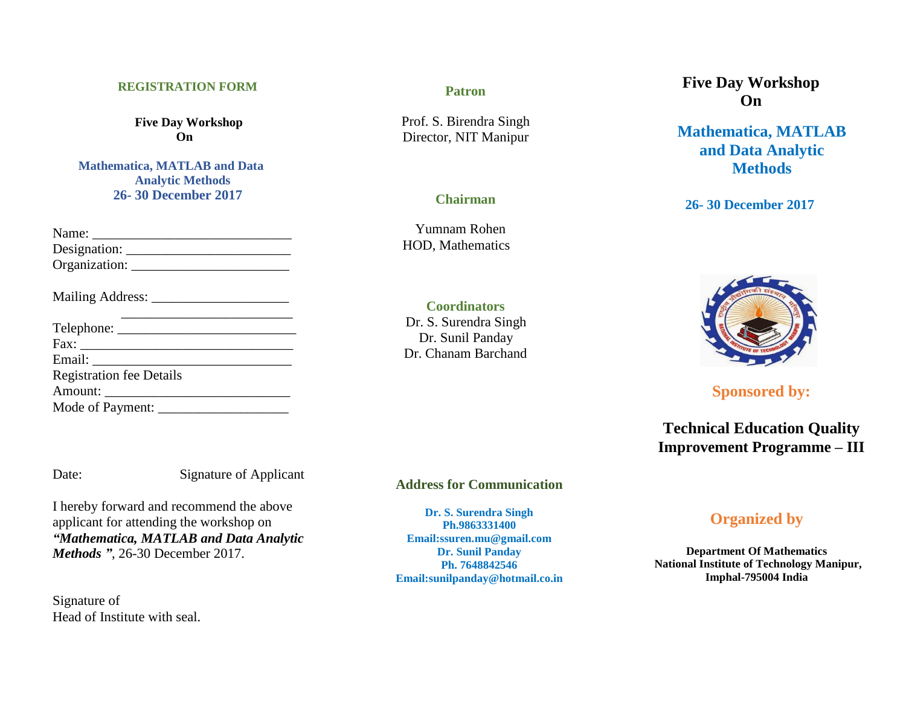#### **REGISTRATION FORM**

**Five Day Workshop On**

**Mathematica, MATLAB and Data Analytic Methods 26- 30 December 2017**

| Designation:                    |
|---------------------------------|
|                                 |
|                                 |
|                                 |
|                                 |
|                                 |
| <b>Registration fee Details</b> |
|                                 |
| Mode of Payment:                |

Signature of Applicant

I hereby forward and recommend the above applicant for attending the workshop on *"Mathematica, MATLAB and Data Analytic Methods "*, 26-30 December 2017.

Signature of Head of Institute with seal.

### **Patron**

Prof. S. Birendra Singh Director, NIT Manipur

# **Chairman**

 Yumnam Rohen HOD, Mathematics

**Coordinators** Dr. S. Surendra Singh Dr. Sunil Panday Dr. Chanam Barchand

**Address for Communication**

**Dr. S. Surendra Singh Ph.9863331400 Email:ssuren.mu@gmail.com Dr. Sunil Panday Ph. 7648842546 Email:sunilpanday@hotmail.co.in**

# **Five Day Workshop On**

**Mathematica, MATLAB and Data Analytic Methods**

**26- 30 December 2017**



**Sponsored by:**

**Technical Education Quality Improvement Programme – III**

# **Organized by**

**Department Of Mathematics National Institute of Technology Manipur, Imphal-795004 India**